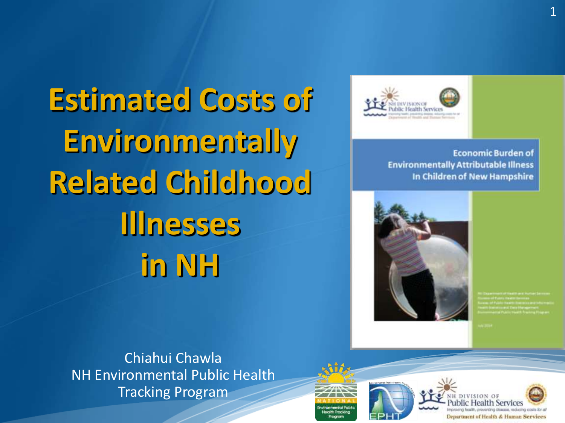

**Economic Burden of Environmentally Attributable Illness** In Children of New Hampshire



Chiahui Chawla NH Environmental Public Health Tracking Program





**Estimated Costs of Environmentally Related Childhood Illnesses in NH**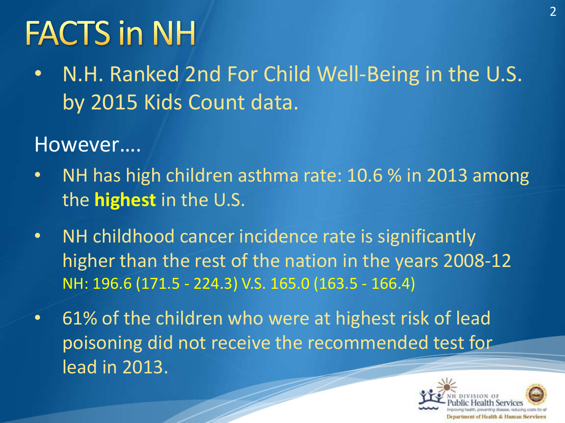# **FACTS in NH**

• N.H. Ranked 2nd For Child Well-Being in the U.S. by 2015 Kids Count data.

### However….

- NH has high children asthma rate: 10.6 % in 2013 among the **highest** in the U.S.
- NH childhood cancer incidence rate is significantly higher than the rest of the nation in the years 2008-12 NH: 196.6 (171.5 - 224.3) V.S. 165.0 (163.5 - 166.4)
- 61% of the children who were at highest risk of lead poisoning did not receive the recommended test for lead in 2013.

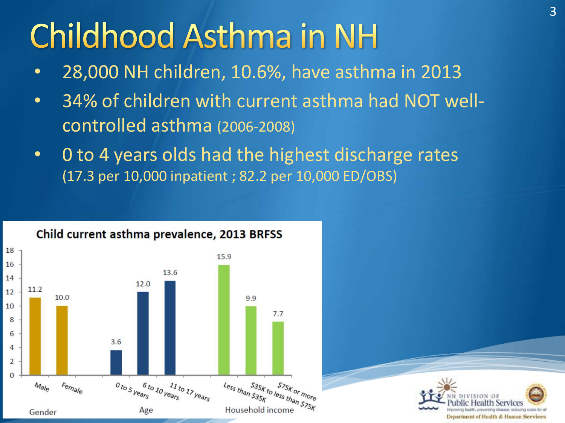### **Childhood Asthma in NH**

- 28,000 NH children, 10.6%, have asthma in 2013
- 34% of children with current asthma had NOT wellcontrolled asthma (2006-2008)
- 0 to 4 years olds had the highest discharge rates (17.3 per 10,000 inpatient ; 82.2 per 10,000 ED/OBS)



### Child current asthma prevalence, 2013 BRFSS

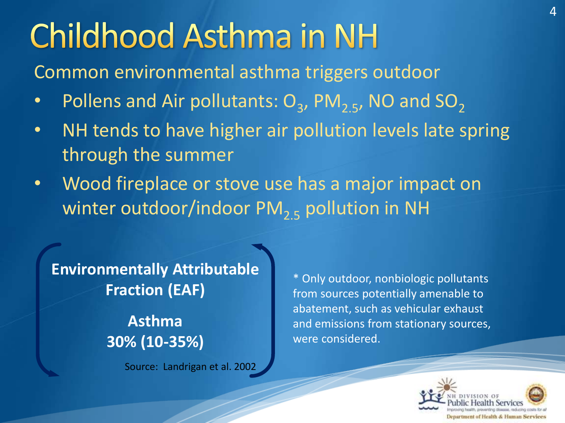## **Childhood Asthma in NH**

Common environmental asthma triggers outdoor

- Pollens and Air pollutants:  $O_3$ , PM<sub>2.5</sub>, NO and SO<sub>2</sub>
- NH tends to have higher air pollution levels late spring through the summer
- Wood fireplace or stove use has a major impact on winter outdoor/indoor  $PM_{2,5}$  pollution in NH

Source: Landrigan et al. 2002 **Environmentally Attributable Fraction (EAF) Asthma 30% (10-35%)** 

\* Only outdoor, nonbiologic pollutants from sources potentially amenable to abatement, such as vehicular exhaust and emissions from stationary sources, were considered.



4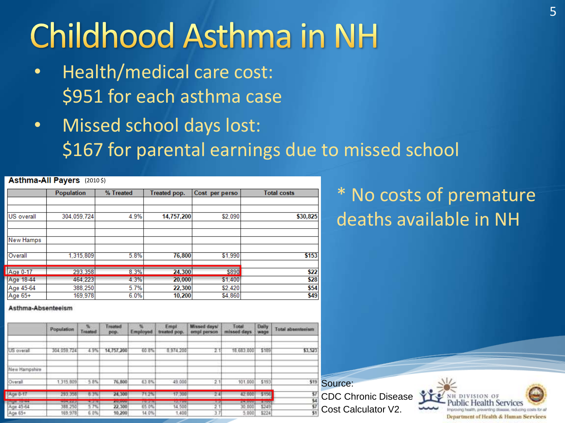## **Childhood Asthma in NH**

- Health/medical care cost: \$951 for each asthma case
- Missed school days lost: \$167 for parental earnings due to missed school

#### Asthma-All Payers (2010 \$)

|                   | <b>Population</b> | % Treated | Treated pop. | Cost per perso | <b>Total costs</b> |
|-------------------|-------------------|-----------|--------------|----------------|--------------------|
|                   |                   |           |              |                |                    |
| <b>US</b> overall | 304,059,724       | 4.9%      | 14,757,200   | \$2,090        | \$30,825           |
|                   |                   |           |              |                |                    |
| <b>New Hamps</b>  |                   |           |              |                |                    |
|                   |                   |           |              |                |                    |
| Overall           | 1.315.809         | 5.8%      | 76,800       | \$1,990        | \$153              |
| Age 0-17          | 293,358           | 8.3%      | 24,300       | \$890          | \$22               |
| Age 18-44         | 464.223           | 4.3%      | 20,000       | \$1,400        | \$28               |
| Age 45-64         | 388,250           | 5.7%      | 22,300       | \$2,420        | \$54               |
| Age 65+           | 169.978           | 6.0%      | 10,200       | \$4,860        | \$49               |

### \* No costs of premature deaths available in NH

#### Asthma-Absenteeism

|                      | Population          | <b>Northern</b><br>reated | Treated<br>pop.  | Employed       | Empt<br>treated pop. | Missed days/<br>empl person | Total<br>missed days | Daily<br>wage  | Total absenterium |                    |
|----------------------|---------------------|---------------------------|------------------|----------------|----------------------|-----------------------------|----------------------|----------------|-------------------|--------------------|
| US overall           | 304 059 724         | 4.97                      | 14,757,200       | 60 8           | 8974200              |                             | 18,683,000           | 5189           | \$3.523           |                    |
| New Hampshire        |                     |                           |                  |                |                      |                             |                      |                |                   |                    |
| Overall              | 1 315 809           | 5.8%                      | 76.800           | 63.8%          | 49,000               | 2.1                         | 101,000              | \$193          | \$19              | Source:            |
| Age 0-17             | 293.358             | 8.3%                      | 24,300           | 71.2%          | 17.300               | 241                         | 42.000               | \$156          |                   | CDC Chronic Disea  |
| <b>India</b> sales   | <b>HOME AGEN</b>    | 4.2.4                     | <b>ANGHUN</b>    | <b>PRIMARY</b> | 120, 73, 93, 93      | $1 - 21$                    | <b>APRILIANS</b>     | <b>W. FONT</b> |                   |                    |
| Age 45-64<br>Age 65+ | 388, 250<br>169,978 | 57%<br>6.0%               | 22.300<br>10,200 | 65.0%<br>14.0% | 14.500<br>1.400      |                             | 30 000<br>5.000      | \$249<br>\$224 |                   | Cost Calculator V2 |

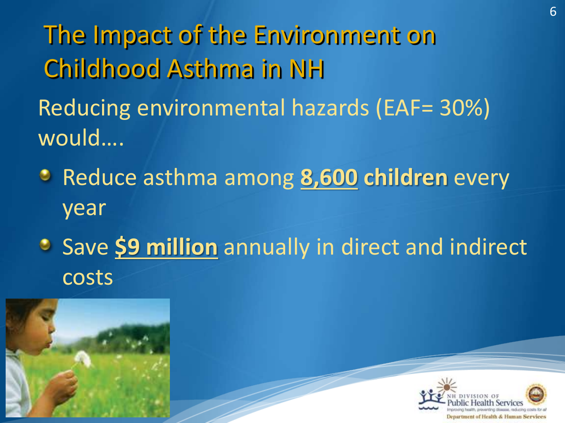The Impact of the Environment on Childhood Asthma in NH

Reducing environmental hazards (EAF= 30%) would….

Reduce asthma among **8,600 children** every year

**Save \$9 million** annually in direct and indirect costs



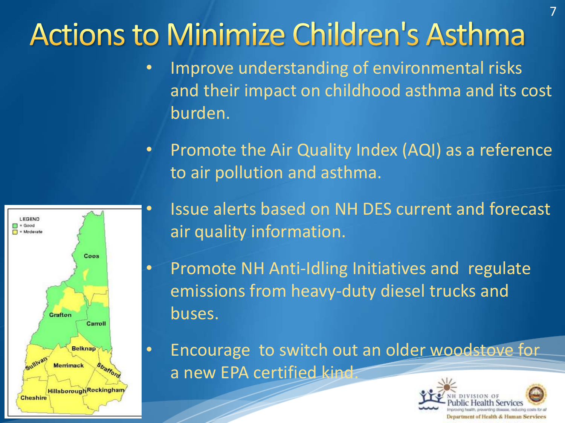### **Actions to Minimize Children's Asthma**

- Improve understanding of environmental risks and their impact on childhood asthma and its cost burden.
- Promote the Air Quality Index (AQI) as a reference to air pollution and asthma.



- Issue alerts based on NH DES current and forecast air quality information.
- Promote NH Anti-Idling Initiatives and regulate emissions from heavy-duty diesel trucks and buses.
- Encourage to switch out an older woodstove for a new EPA certified kind.

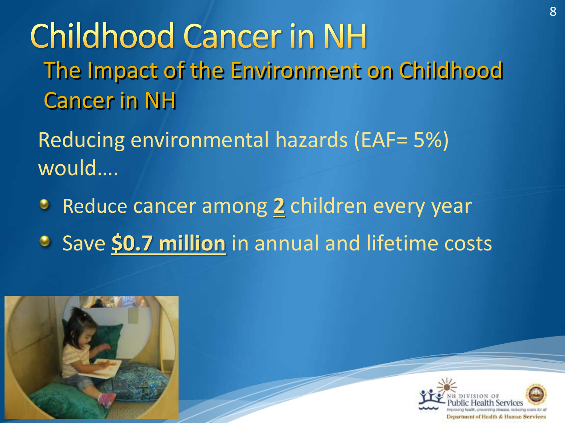**Childhood Cancer in NH** The Impact of the Environment on Childhood Cancer in NH

Reducing environmental hazards (EAF= 5%) would….

- **Reduce cancer among 2 children every year**
- **Save \$0.7 million** in annual and lifetime costs



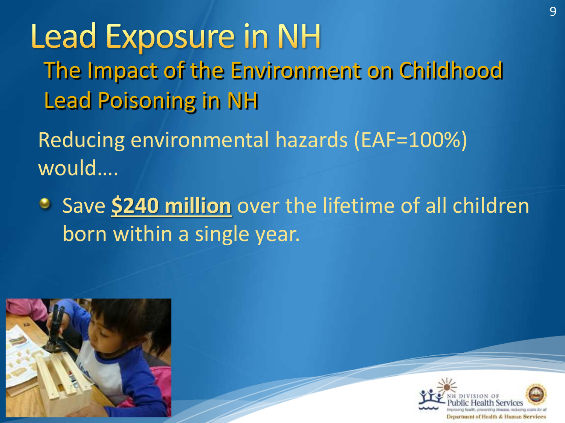## **Lead Exposure in NH**

The Impact of the Environment on Childhood Lead Poisoning in NH

Reducing environmental hazards (EAF=100%) would….

**Save \$240 million** over the lifetime of all children born within a single year.



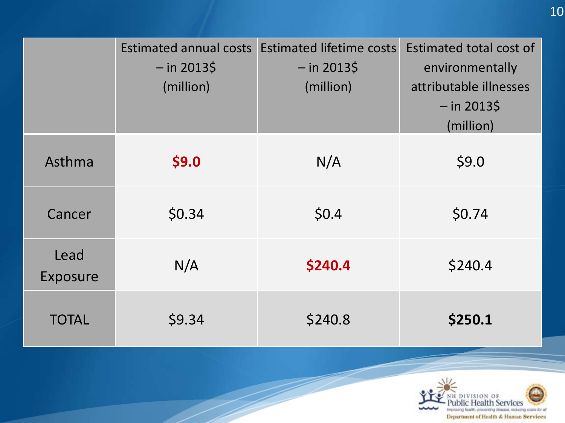|                  | $-$ in 2013\$<br>(million) | Estimated annual costs Estimated lifetime costs<br>$-$ in 2013\$<br>(million) | Estimated total cost of<br>environmentally<br>attributable illnesses<br>$-$ in 2013\$ |
|------------------|----------------------------|-------------------------------------------------------------------------------|---------------------------------------------------------------------------------------|
|                  |                            |                                                                               | (million)                                                                             |
| Asthma           | \$9.0                      | N/A                                                                           | \$9.0                                                                                 |
| Cancer           | \$0.34                     | \$0.4                                                                         | \$0.74                                                                                |
| Lead<br>Exposure | N/A                        | \$240.4                                                                       | \$240.4                                                                               |
| <b>TOTAL</b>     | \$9.34                     | \$240.8                                                                       | \$250.1                                                                               |

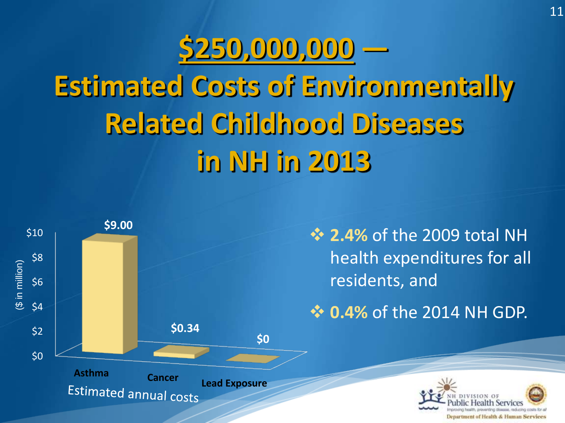# **\$250,000,000 ― Estimated Costs of Environmentally Related Childhood Diseases in NH in 2013**



Department of Health & Human Services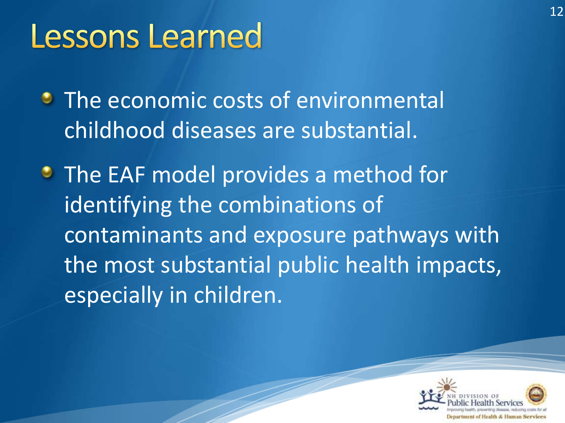### **Lessons Learned**

**• The economic costs of environmental** childhood diseases are substantial.

**• The EAF model provides a method for** identifying the combinations of contaminants and exposure pathways with the most substantial public health impacts, especially in children.